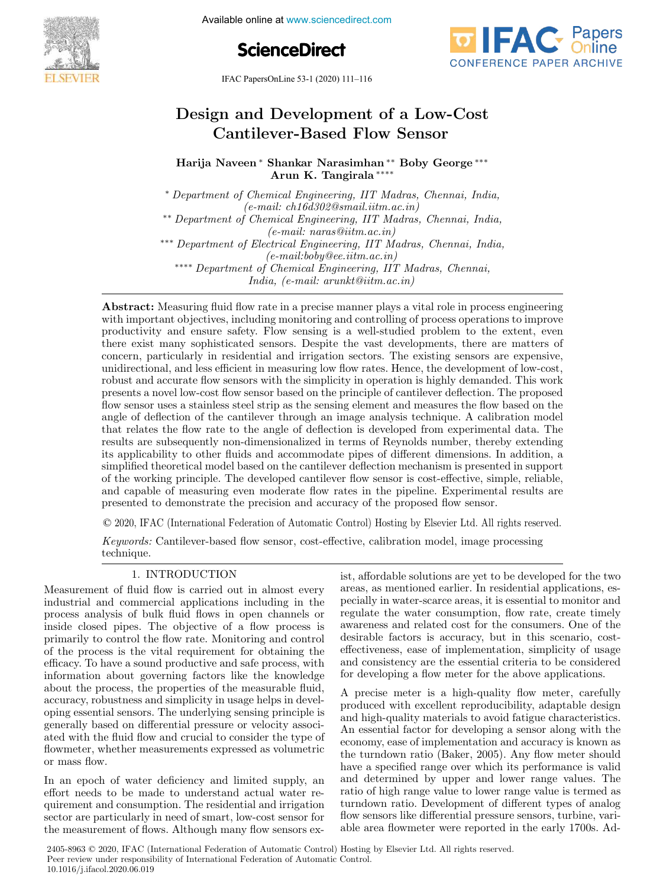

Available online at www.sciencedirect.com

**ScienceDirect**



IFAC PapersOnLine 53-1 (2020) 111–116

# Design and Development of a Low-Cost Cantilever-Based Flow Sensor

Harija Naveen <sup>∗</sup> Shankar Narasimhan ∗∗ Boby George ∗∗∗ Arun K. Tangirala <sup>∗</sup>

<sup>∗</sup> Department of Chemical Engineering, IIT Madras, Chennai, India, (e-mail: ch16d302@smail.iitm.ac.in) ∗∗ Department of Chemical Engineering, IIT Madras, Chennai, India, (e-mail: naras@iitm.ac.in) ∗∗∗ Department of Electrical Engineering, IIT Madras, Chennai, India,  $(e-mail:boby@ee.iitm.ac.in)$ ∗∗∗∗ Department of Chemical Engineering, IIT Madras, Chennai, India, (e-mail: arunkt@iitm.ac.in)

Abstract: Measuring fluid flow rate in a precise manner plays a vital role in process engineering with important objectives, including monitoring and controlling of process operations to improve productivity and ensure safety. Flow sensing is a well-studied problem to the extent, even there exist many sophisticated sensors. Despite the vast developments, there are matters of concern, particularly in residential and irrigation sectors. The existing sensors are expensive, unidirectional, and less efficient in measuring low flow rates. Hence, the development of low-cost, robust and accurate flow sensors with the simplicity in operation is highly demanded. This work presents a novel low-cost flow sensor based on the principle of cantilever deflection. The proposed flow sensor uses a stainless steel strip as the sensing element and measures the flow based on the angle of deflection of the cantilever through an image analysis technique. A calibration model that relates the flow rate to the angle of deflection is developed from experimental data. The results are subsequently non-dimensionalized in terms of Reynolds number, thereby extending its applicability to other fluids and accommodate pipes of different dimensions. In addition, a simplified theoretical model based on the cantilever deflection mechanism is presented in support of the working principle. The developed cantilever flow sensor is cost-effective, simple, reliable, and capable of measuring even moderate flow rates in the pipeline. Experimental results are presented to demonstrate the precision and accuracy of the proposed flow sensor.

© 2020, IFAC (International Federation of Automatic Control) Hosting by Elsevier Ltd. All rights reserved.

Keywords: Cantilever-based flow sensor, cost-effective, calibration model, image processing technique.

Measurement of fluid flow is carried out in almost every industrial and commercial applications including in the process analysis of bulk fluid flows in open channels or inside closed pipes. The objective of a flow process is primarily to control the flow rate. Monitoring and control of the process is the vital requirement for obtaining the efficacy. To have a sound productive and safe process, with information about governing factors like the knowledge about the process, the properties of the measurable fluid, accuracy, robustness and simplicity in usage helps in developing essential sensors. The underlying sensing principle is generally based on differential pressure or velocity associated with the fluid flow and crucial to consider the type of flowmeter, whether measurements expressed as volumetric or mass flow.

In an epoch of water deficiency and limited supply, an effort needs to be made to understand actual water requirement and consumption. The residential and irrigation sector are particularly in need of smart, low-cost sensor for the measurement of flows. Although many flow sensors ex-

1. INTRODUCTION ist, affordable solutions are yet to be developed for the two areas, as mentioned earlier. In residential applications, especially in water-scarce areas, it is essential to monitor and regulate the water consumption, flow rate, create timely awareness and related cost for the consumers. One of the desirable factors is accuracy, but in this scenario, costeffectiveness, ease of implementation, simplicity of usage and consistency are the essential criteria to be considered for developing a flow meter for the above applications.

> A precise meter is a high-quality flow meter, carefully produced with excellent reproducibility, adaptable design and high-quality materials to avoid fatigue characteristics. An essential factor for developing a sensor along with the economy, ease of implementation and accuracy is known as the turndown ratio (Baker, 2005). Any flow meter should have a specified range over which its performance is valid and determined by upper and lower range values. The ratio of high range value to lower range value is termed as turndown ratio. Development of different types of analog flow sensors like differential pressure sensors, turbine, variable area flowmeter were reported in the early 1700s. Ad-

2405-8963 © 2020, IFAC (International Federation of Automatic Control) Hosting by Elsevier Ltd. All rights reserved. Peer review under responsibility of International Federation of Automatic Control. 10.1016/j.ifacol.2020.06.019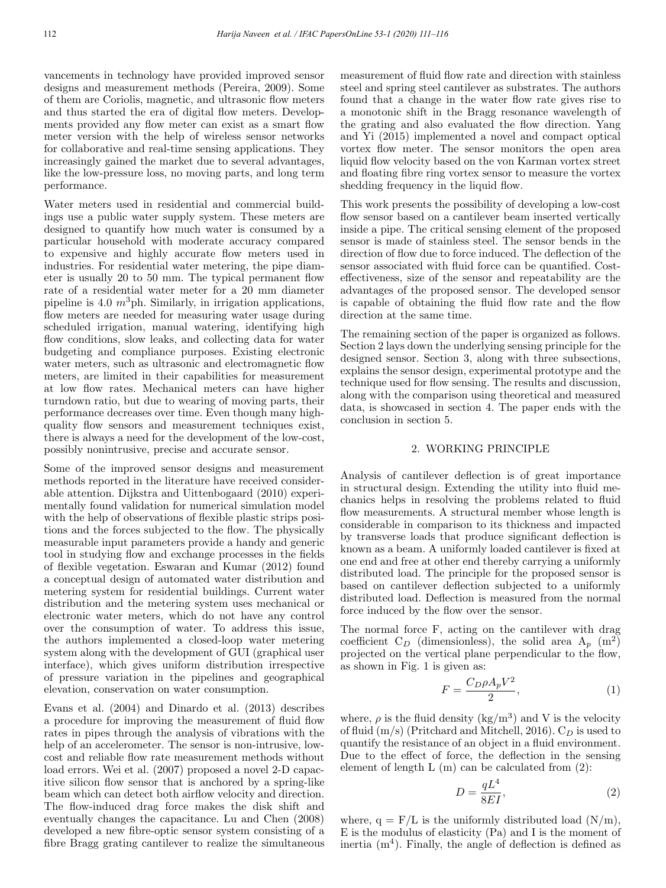vancements in technology have provided improved sensor designs and measurement methods (Pereira, 2009). Some of them are Coriolis, magnetic, and ultrasonic flow meters and thus started the era of digital flow meters. Developments provided any flow meter can exist as a smart flow meter version with the help of wireless sensor networks for collaborative and real-time sensing applications. They increasingly gained the market due to several advantages, like the low-pressure loss, no moving parts, and long term performance.

Water meters used in residential and commercial buildings use a public water supply system. These meters are designed to quantify how much water is consumed by a particular household with moderate accuracy compared to expensive and highly accurate flow meters used in industries. For residential water metering, the pipe diameter is usually 20 to 50 mm. The typical permanent flow rate of a residential water meter for a 20 mm diameter pipeline is 4.0  $m^3$ ph. Similarly, in irrigation applications, flow meters are needed for measuring water usage during scheduled irrigation, manual watering, identifying high flow conditions, slow leaks, and collecting data for water budgeting and compliance purposes. Existing electronic water meters, such as ultrasonic and electromagnetic flow meters, are limited in their capabilities for measurement at low flow rates. Mechanical meters can have higher turndown ratio, but due to wearing of moving parts, their performance decreases over time. Even though many highquality flow sensors and measurement techniques exist, there is always a need for the development of the low-cost, possibly nonintrusive, precise and accurate sensor.

Some of the improved sensor designs and measurement methods reported in the literature have received considerable attention. Dijkstra and Uittenbogaard (2010) experimentally found validation for numerical simulation model with the help of observations of flexible plastic strips positions and the forces subjected to the flow. The physically measurable input parameters provide a handy and generic tool in studying flow and exchange processes in the fields of flexible vegetation. Eswaran and Kumar (2012) found a conceptual design of automated water distribution and metering system for residential buildings. Current water distribution and the metering system uses mechanical or electronic water meters, which do not have any control over the consumption of water. To address this issue, the authors implemented a closed-loop water metering system along with the development of GUI (graphical user interface), which gives uniform distribution irrespective of pressure variation in the pipelines and geographical elevation, conservation on water consumption.

Evans et al. (2004) and Dinardo et al. (2013) describes a procedure for improving the measurement of fluid flow rates in pipes through the analysis of vibrations with the help of an accelerometer. The sensor is non-intrusive, lowcost and reliable flow rate measurement methods without load errors. Wei et al. (2007) proposed a novel 2-D capacitive silicon flow sensor that is anchored by a spring-like beam which can detect both airflow velocity and direction. The flow-induced drag force makes the disk shift and eventually changes the capacitance. Lu and Chen (2008) developed a new fibre-optic sensor system consisting of a fibre Bragg grating cantilever to realize the simultaneous measurement of fluid flow rate and direction with stainless steel and spring steel cantilever as substrates. The authors found that a change in the water flow rate gives rise to a monotonic shift in the Bragg resonance wavelength of the grating and also evaluated the flow direction. Yang and Yi (2015) implemented a novel and compact optical vortex flow meter. The sensor monitors the open area liquid flow velocity based on the von Karman vortex street and floating fibre ring vortex sensor to measure the vortex shedding frequency in the liquid flow.

This work presents the possibility of developing a low-cost flow sensor based on a cantilever beam inserted vertically inside a pipe. The critical sensing element of the proposed sensor is made of stainless steel. The sensor bends in the direction of flow due to force induced. The deflection of the sensor associated with fluid force can be quantified. Costeffectiveness, size of the sensor and repeatability are the advantages of the proposed sensor. The developed sensor is capable of obtaining the fluid flow rate and the flow direction at the same time.

The remaining section of the paper is organized as follows. Section 2 lays down the underlying sensing principle for the designed sensor. Section 3, along with three subsections, explains the sensor design, experimental prototype and the technique used for flow sensing. The results and discussion, along with the comparison using theoretical and measured data, is showcased in section 4. The paper ends with the conclusion in section 5.

#### 2. WORKING PRINCIPLE

Analysis of cantilever deflection is of great importance in structural design. Extending the utility into fluid mechanics helps in resolving the problems related to fluid flow measurements. A structural member whose length is considerable in comparison to its thickness and impacted by transverse loads that produce significant deflection is known as a beam. A uniformly loaded cantilever is fixed at one end and free at other end thereby carrying a uniformly distributed load. The principle for the proposed sensor is based on cantilever deflection subjected to a uniformly distributed load. Deflection is measured from the normal force induced by the flow over the sensor.

The normal force F, acting on the cantilever with drag coefficient C<sub>D</sub> (dimensionless), the solid area A<sub>p</sub> (m<sup>2</sup>) projected on the vertical plane perpendicular to the flow, as shown in Fig. 1 is given as:

$$
F = \frac{C_D \rho A_p V^2}{2},\tag{1}
$$

where,  $\rho$  is the fluid density (kg/m<sup>3</sup>) and V is the velocity of fluid  $(m/s)$  (Pritchard and Mitchell, 2016).  $C_D$  is used to quantify the resistance of an object in a fluid environment. Due to the effect of force, the deflection in the sensing element of length  $L(m)$  can be calculated from  $(2)$ :

$$
D = \frac{qL^4}{8EI},\tag{2}
$$

where,  $q = F/L$  is the uniformly distributed load  $(N/m)$ , E is the modulus of elasticity (Pa) and I is the moment of inertia  $(m<sup>4</sup>)$ . Finally, the angle of deflection is defined as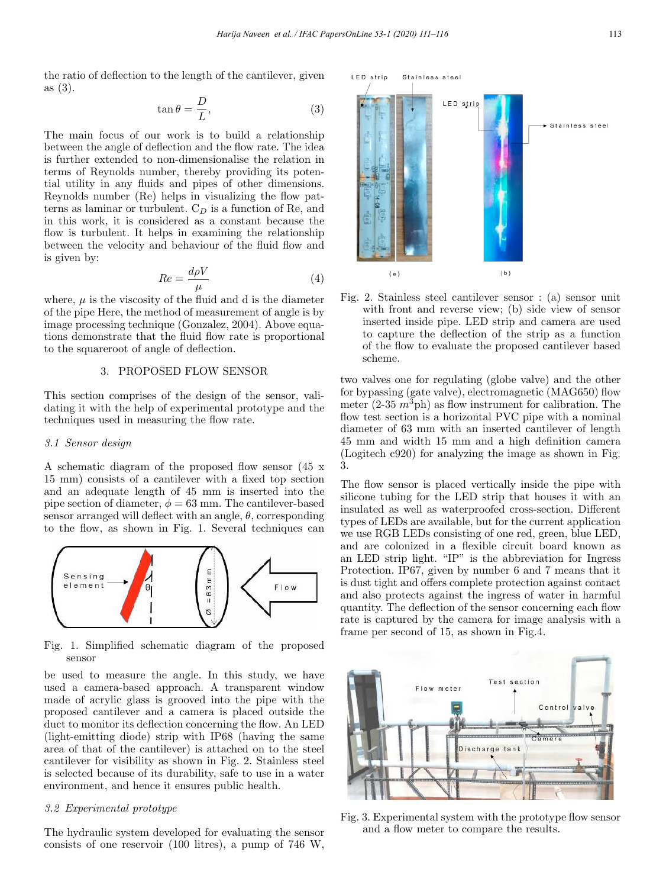the ratio of deflection to the length of the cantilever, given as (3).

$$
\tan \theta = \frac{D}{L},\tag{3}
$$

The main focus of our work is to build a relationship between the angle of deflection and the flow rate. The idea is further extended to non-dimensionalise the relation in terms of Reynolds number, thereby providing its potential utility in any fluids and pipes of other dimensions. Reynolds number (Re) helps in visualizing the flow patterns as laminar or turbulent.  $C_D$  is a function of Re, and in this work, it is considered as a constant because the flow is turbulent. It helps in examining the relationship between the velocity and behaviour of the fluid flow and is given by:

$$
Re = \frac{d\rho V}{\mu} \tag{4}
$$

where,  $\mu$  is the viscosity of the fluid and d is the diameter of the pipe Here, the method of measurement of angle is by image processing technique (Gonzalez, 2004). Above equations demonstrate that the fluid flow rate is proportional to the squareroot of angle of deflection.

# 3. PROPOSED FLOW SENSOR

This section comprises of the design of the sensor, validating it with the help of experimental prototype and the techniques used in measuring the flow rate.

#### 3.1 Sensor design

A schematic diagram of the proposed flow sensor (45 x 15 mm) consists of a cantilever with a fixed top section and an adequate length of 45 mm is inserted into the pipe section of diameter,  $\phi = 63$  mm. The cantilever-based sensor arranged will deflect with an angle,  $\theta$ , corresponding to the flow, as shown in Fig. 1. Several techniques can



Fig. 1. Simplified schematic diagram of the proposed sensor

be used to measure the angle. In this study, we have used a camera-based approach. A transparent window made of acrylic glass is grooved into the pipe with the proposed cantilever and a camera is placed outside the duct to monitor its deflection concerning the flow. An LED (light-emitting diode) strip with IP68 (having the same area of that of the cantilever) is attached on to the steel cantilever for visibility as shown in Fig. 2. Stainless steel is selected because of its durability, safe to use in a water environment, and hence it ensures public health.

### 3.2 Experimental prototype

The hydraulic system developed for evaluating the sensor consists of one reservoir (100 litres), a pump of 746 W,



Fig. 2. Stainless steel cantilever sensor : (a) sensor unit with front and reverse view; (b) side view of sensor inserted inside pipe. LED strip and camera are used to capture the deflection of the strip as a function of the flow to evaluate the proposed cantilever based scheme.

two valves one for regulating (globe valve) and the other for bypassing (gate valve), electromagnetic (MAG650) flow meter  $(2-35 \, m^3$ ph) as flow instrument for calibration. The flow test section is a horizontal PVC pipe with a nominal diameter of 63 mm with an inserted cantilever of length 45 mm and width 15 mm and a high definition camera (Logitech c920) for analyzing the image as shown in Fig. 3.

The flow sensor is placed vertically inside the pipe with silicone tubing for the LED strip that houses it with an insulated as well as waterproofed cross-section. Different types of LEDs are available, but for the current application we use RGB LEDs consisting of one red, green, blue LED, and are colonized in a flexible circuit board known as an LED strip light. "IP" is the abbreviation for Ingress Protection. IP67, given by number 6 and 7 means that it is dust tight and offers complete protection against contact and also protects against the ingress of water in harmful quantity. The deflection of the sensor concerning each flow rate is captured by the camera for image analysis with a frame per second of 15, as shown in Fig.4.



Fig. 3. Experimental system with the prototype flow sensor and a flow meter to compare the results.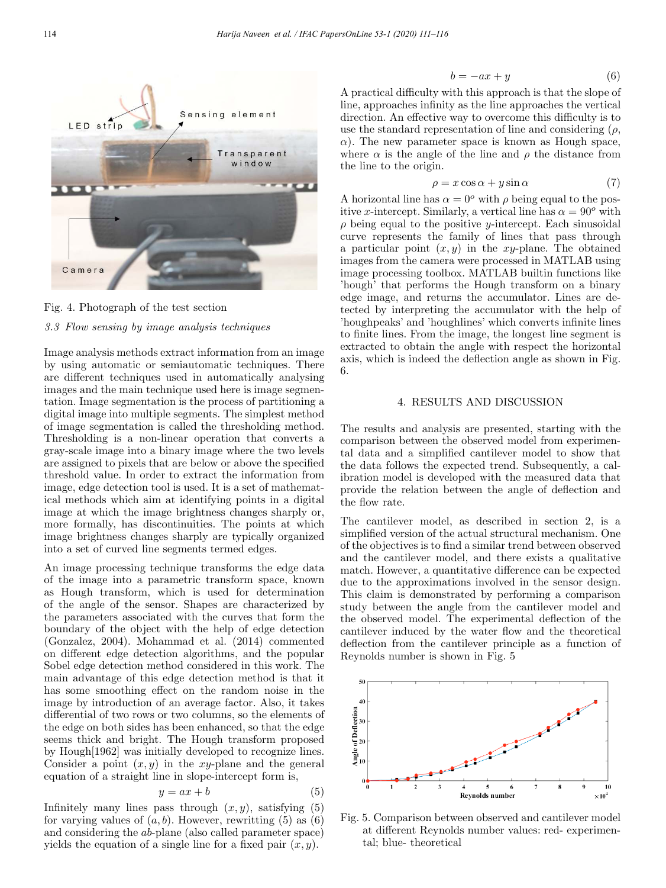

Fig. 4. Photograph of the test section

#### 3.3 Flow sensing by image analysis techniques

Image analysis methods extract information from an image by using automatic or semiautomatic techniques. There are different techniques used in automatically analysing images and the main technique used here is image segmentation. Image segmentation is the process of partitioning a digital image into multiple segments. The simplest method of image segmentation is called the thresholding method. Thresholding is a non-linear operation that converts a gray-scale image into a binary image where the two levels are assigned to pixels that are below or above the specified threshold value. In order to extract the information from image, edge detection tool is used. It is a set of mathematical methods which aim at identifying points in a digital image at which the image brightness changes sharply or, more formally, has discontinuities. The points at which image brightness changes sharply are typically organized into a set of curved line segments termed edges.

An image processing technique transforms the edge data of the image into a parametric transform space, known as Hough transform, which is used for determination of the angle of the sensor. Shapes are characterized by the parameters associated with the curves that form the boundary of the object with the help of edge detection (Gonzalez, 2004). Mohammad et al. (2014) commented on different edge detection algorithms, and the popular Sobel edge detection method considered in this work. The main advantage of this edge detection method is that it has some smoothing effect on the random noise in the image by introduction of an average factor. Also, it takes differential of two rows or two columns, so the elements of the edge on both sides has been enhanced, so that the edge seems thick and bright. The Hough transform proposed by Hough[1962] was initially developed to recognize lines. Consider a point  $(x, y)$  in the xy-plane and the general equation of a straight line in slope-intercept form is,

$$
y = ax + b \tag{5}
$$

Infinitely many lines pass through  $(x, y)$ , satisfying (5) for varying values of  $(a, b)$ . However, rewritting (5) as (6) and considering the ab-plane (also called parameter space) yields the equation of a single line for a fixed pair  $(x, y)$ .

$$
b = -ax + y \tag{6}
$$

A practical difficulty with this approach is that the slope of line, approaches infinity as the line approaches the vertical direction. An effective way to overcome this difficulty is to use the standard representation of line and considering  $(\rho,$  $\alpha$ ). The new parameter space is known as Hough space, where  $\alpha$  is the angle of the line and  $\rho$  the distance from the line to the origin.

$$
\rho = x \cos \alpha + y \sin \alpha \tag{7}
$$

A horizontal line has  $\alpha = 0^{\circ}$  with  $\rho$  being equal to the positive x-intercept. Similarly, a vertical line has  $\alpha = 90^{\circ}$  with  $\rho$  being equal to the positive y-intercept. Each sinusoidal curve represents the family of lines that pass through a particular point  $(x, y)$  in the xy-plane. The obtained images from the camera were processed in MATLAB using image processing toolbox. MATLAB builtin functions like 'hough' that performs the Hough transform on a binary edge image, and returns the accumulator. Lines are detected by interpreting the accumulator with the help of 'houghpeaks' and 'houghlines' which converts infinite lines to finite lines. From the image, the longest line segment is extracted to obtain the angle with respect the horizontal axis, which is indeed the deflection angle as shown in Fig. 6.

### 4. RESULTS AND DISCUSSION

The results and analysis are presented, starting with the comparison between the observed model from experimental data and a simplified cantilever model to show that the data follows the expected trend. Subsequently, a calibration model is developed with the measured data that provide the relation between the angle of deflection and the flow rate.

The cantilever model, as described in section 2, is a simplified version of the actual structural mechanism. One of the objectives is to find a similar trend between observed and the cantilever model, and there exists a qualitative match. However, a quantitative difference can be expected due to the approximations involved in the sensor design. This claim is demonstrated by performing a comparison study between the angle from the cantilever model and the observed model. The experimental deflection of the cantilever induced by the water flow and the theoretical deflection from the cantilever principle as a function of Reynolds number is shown in Fig. 5



Fig. 5. Comparison between observed and cantilever model at different Reynolds number values: red- experimental; blue- theoretical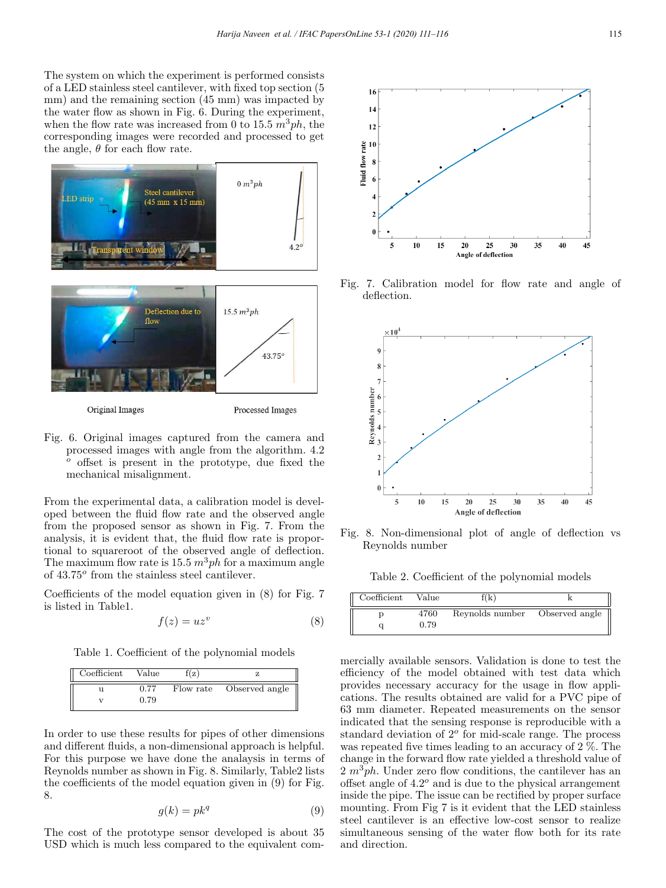The system on which the experiment is performed consists of a LED stainless steel cantilever, with fixed top section (5 mm) and the remaining section (45 mm) was impacted by the water flow as shown in Fig. 6. During the experiment, when the flow rate was increased from 0 to 15.5  $m^3ph$ , the corresponding images were recorded and processed to get the angle,  $\theta$  for each flow rate.



Fig. 6. Original images captured from the camera and processed images with angle from the algorithm. 4.2 <sup>o</sup> offset is present in the prototype, due fixed the mechanical misalignment.

From the experimental data, a calibration model is developed between the fluid flow rate and the observed angle from the proposed sensor as shown in Fig. 7. From the analysis, it is evident that, the fluid flow rate is proportional to squareroot of the observed angle of deflection. The maximum flow rate is 15.5  $m^3ph$  for a maximum angle of  $43.75^{\circ}$  from the stainless steel cantilever.

Coefficients of the model equation given in (8) for Fig. 7 is listed in Table1.

$$
f(z) = uz^v \tag{8}
$$

Table 1. Coefficient of the polynomial models

| Coefficient | Value | f(z) |                          |
|-------------|-------|------|--------------------------|
|             | 0.77  |      | Flow rate Observed angle |
|             | 0.79  |      |                          |

In order to use these results for pipes of other dimensions and different fluids, a non-dimensional approach is helpful. For this purpose we have done the analaysis in terms of Reynolds number as shown in Fig. 8. Similarly, Table2 lists the coefficients of the model equation given in (9) for Fig. 8.

$$
g(k) = p k^q \tag{9}
$$

The cost of the prototype sensor developed is about 35 USD which is much less compared to the equivalent com-



Fig. 7. Calibration model for flow rate and angle of deflection.



Fig. 8. Non-dimensional plot of angle of deflection vs Reynolds number

Table 2. Coefficient of the polynomial models

| Coefficient | Value | `( k                           |  |
|-------------|-------|--------------------------------|--|
|             | 4760  | Reynolds number Observed angle |  |
|             | 0.79  |                                |  |

mercially available sensors. Validation is done to test the efficiency of the model obtained with test data which provides necessary accuracy for the usage in flow applications. The results obtained are valid for a PVC pipe of 63 mm diameter. Repeated measurements on the sensor indicated that the sensing response is reproducible with a standard deviation of  $2^o$  for mid-scale range. The process was repeated five times leading to an accuracy of 2 %. The change in the forward flow rate yielded a threshold value of  $2 m<sup>3</sup> ph$ . Under zero flow conditions, the cantilever has an offset angle of  $4.2^{\circ}$  and is due to the physical arrangement inside the pipe. The issue can be rectified by proper surface mounting. From Fig 7 is it evident that the LED stainless steel cantilever is an effective low-cost sensor to realize simultaneous sensing of the water flow both for its rate and direction.